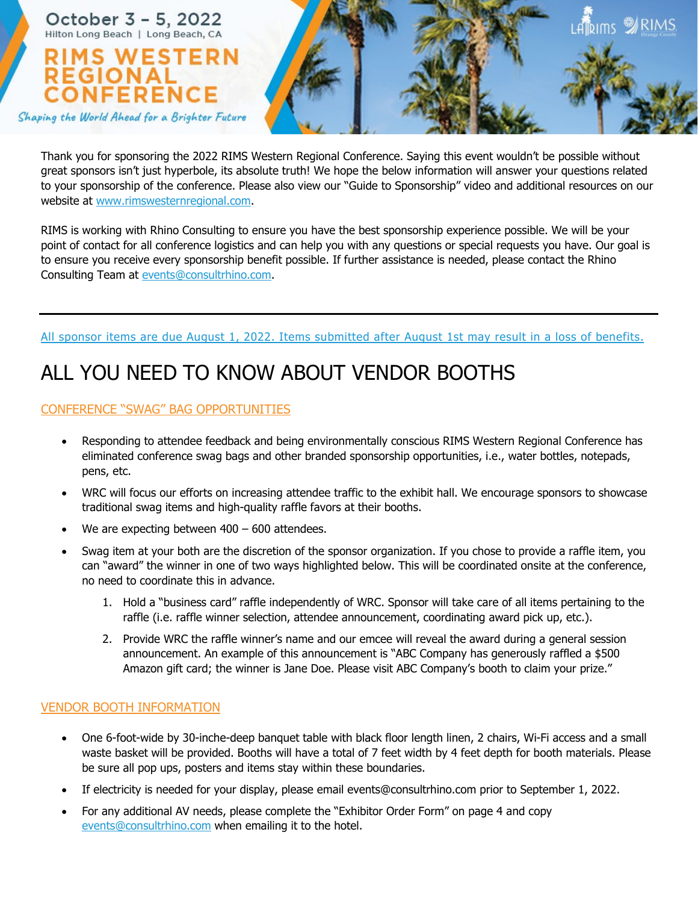

Thank you for sponsoring the 2022 RIMS Western Regional Conference. Saying this event wouldn't be possible without great sponsors isn't just hyperbole, its absolute truth! We hope the below information will answer your questions related to your sponsorship of the conference. Please also view our "Guide to Sponsorship" video and additional resources on our website at www.rimswesternregional.com.

RIMS is working with Rhino Consulting to ensure you have the best sponsorship experience possible. We will be your point of contact for all conference logistics and can help you with any questions or special requests you have. Our goal is to ensure you receive every sponsorship benefit possible. If further assistance is needed, please contact the Rhino Consulting Team at events@consultrhino.com.

### All sponsor items are due August 1, 2022. Items submitted after August 1st may result in a loss of benefits.

# ALL YOU NEED TO KNOW ABOUT VENDOR BOOTHS

## CONFERENCE "SWAG" BAG OPPORTUNITIES

- Responding to attendee feedback and being environmentally conscious RIMS Western Regional Conference has eliminated conference swag bags and other branded sponsorship opportunities, i.e., water bottles, notepads, pens, etc.
- WRC will focus our efforts on increasing attendee traffic to the exhibit hall. We encourage sponsors to showcase traditional swag items and high-quality raffle favors at their booths.
- We are expecting between  $400 600$  attendees.
- Swag item at your both are the discretion of the sponsor organization. If you chose to provide a raffle item, you can "award" the winner in one of two ways highlighted below. This will be coordinated onsite at the conference, no need to coordinate this in advance.
	- 1. Hold a "business card" raffle independently of WRC. Sponsor will take care of all items pertaining to the raffle (i.e. raffle winner selection, attendee announcement, coordinating award pick up, etc.).
	- 2. Provide WRC the raffle winner's name and our emcee will reveal the award during a general session announcement. An example of this announcement is "ABC Company has generously raffled a \$500 Amazon gift card; the winner is Jane Doe. Please visit ABC Company's booth to claim your prize."

### VENDOR BOOTH INFORMATION

- One 6-foot-wide by 30-inche-deep banquet table with black floor length linen, 2 chairs, Wi-Fi access and a small waste basket will be provided. Booths will have a total of 7 feet width by 4 feet depth for booth materials. Please be sure all pop ups, posters and items stay within these boundaries.
- If electricity is needed for your display, please email events@consultrhino.com prior to September 1, 2022.
- For any additional AV needs, please complete the "Exhibitor Order Form" on page 4 and copy events@consultrhino.com when emailing it to the hotel.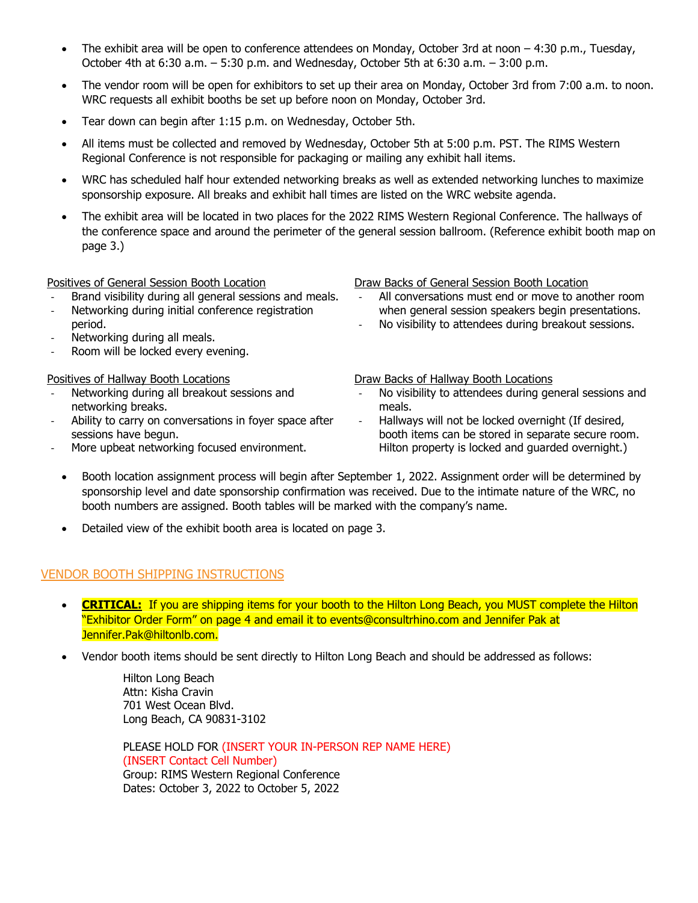- The exhibit area will be open to conference attendees on Monday, October 3rd at noon 4:30 p.m., Tuesday, October 4th at 6:30 a.m. – 5:30 p.m. and Wednesday, October 5th at 6:30 a.m. – 3:00 p.m.
- The vendor room will be open for exhibitors to set up their area on Monday, October 3rd from 7:00 a.m. to noon. WRC requests all exhibit booths be set up before noon on Monday, October 3rd.
- Tear down can begin after 1:15 p.m. on Wednesday, October 5th.
- All items must be collected and removed by Wednesday, October 5th at 5:00 p.m. PST. The RIMS Western Regional Conference is not responsible for packaging or mailing any exhibit hall items.
- WRC has scheduled half hour extended networking breaks as well as extended networking lunches to maximize sponsorship exposure. All breaks and exhibit hall times are listed on the WRC website agenda.
- The exhibit area will be located in two places for the 2022 RIMS Western Regional Conference. The hallways of the conference space and around the perimeter of the general session ballroom. (Reference exhibit booth map on page 3.)

#### Positives of General Session Booth Location

- Brand visibility during all general sessions and meals.
- Networking during initial conference registration period.
- Networking during all meals.
- Room will be locked every evening.

#### Positives of Hallway Booth Locations

- Networking during all breakout sessions and networking breaks.
- Ability to carry on conversations in foyer space after sessions have begun.
- More upbeat networking focused environment.

Draw Backs of General Session Booth Location

- All conversations must end or move to another room when general session speakers begin presentations.
- No visibility to attendees during breakout sessions.

Draw Backs of Hallway Booth Locations

- No visibility to attendees during general sessions and meals.
- Hallways will not be locked overnight (If desired, booth items can be stored in separate secure room. Hilton property is locked and guarded overnight.)
- Booth location assignment process will begin after September 1, 2022. Assignment order will be determined by sponsorship level and date sponsorship confirmation was received. Due to the intimate nature of the WRC, no booth numbers are assigned. Booth tables will be marked with the company's name.
- Detailed view of the exhibit booth area is located on page 3.

## VENDOR BOOTH SHIPPING INSTRUCTIONS

- **CRITICAL:** If you are shipping items for your booth to the Hilton Long Beach, you MUST complete the Hilton "Exhibitor Order Form" on page 4 and email it to events@consultrhino.com and Jennifer Pak at Jennifer.Pak@hiltonlb.com.
- Vendor booth items should be sent directly to Hilton Long Beach and should be addressed as follows:

Hilton Long Beach Attn: Kisha Cravin 701 West Ocean Blvd. Long Beach, CA 90831-3102

PLEASE HOLD FOR (INSERT YOUR IN-PERSON REP NAME HERE) (INSERT Contact Cell Number) Group: RIMS Western Regional Conference Dates: October 3, 2022 to October 5, 2022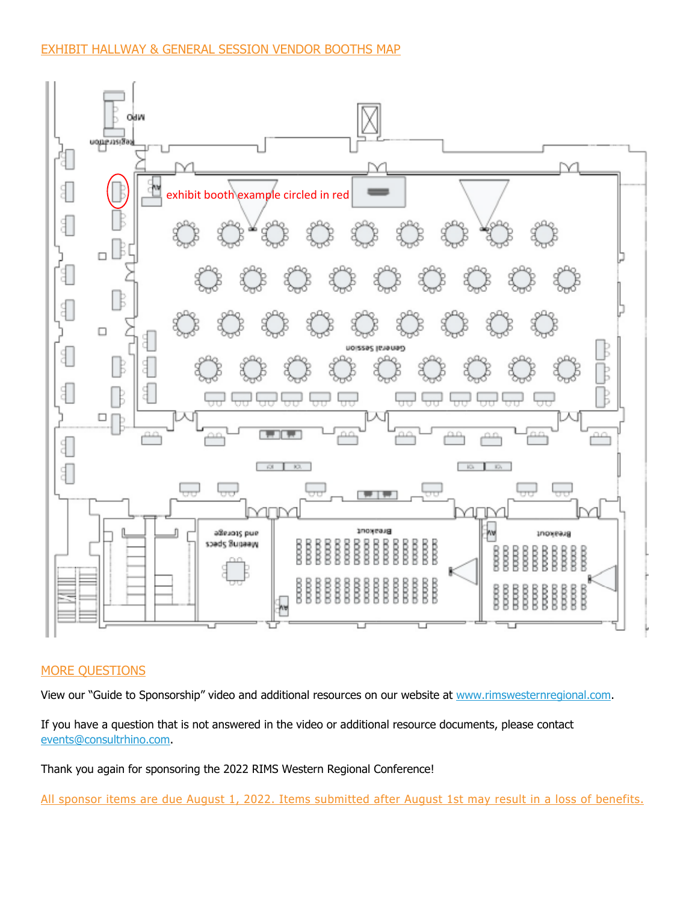## EXHIBIT HALLWAY & GENERAL SESSION VENDOR BOOTHS MAP



### MORE QUESTIONS

View our "Guide to Sponsorship" video and additional resources on our website at www.rimswesternregional.com.

If you have a question that is not answered in the video or additional resource documents, please contact events@consultrhino.com.

Thank you again for sponsoring the 2022 RIMS Western Regional Conference!

All sponsor items are due August 1, 2022. Items submitted after August 1st may result in a loss of benefits.